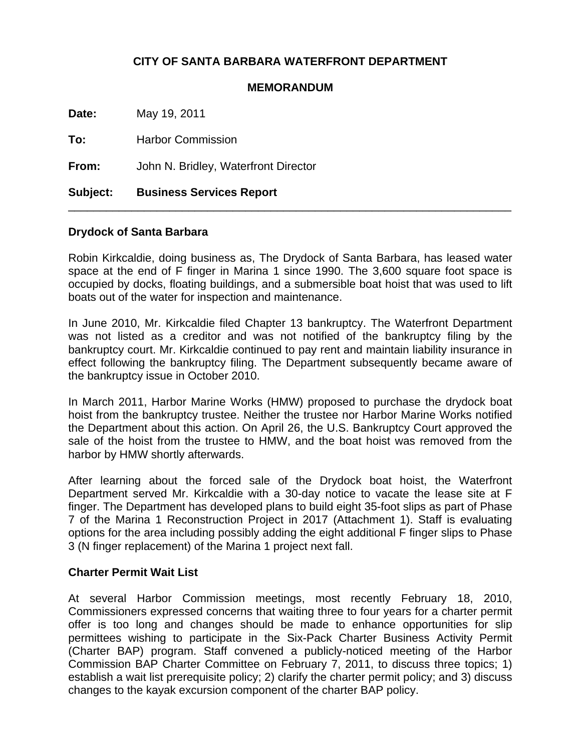# **CITY OF SANTA BARBARA WATERFRONT DEPARTMENT**

## **MEMORANDUM**

**Date:** May 19, 2011

**To:** Harbor Commission

**From:** John N. Bridley, Waterfront Director

# **Subject: Business Services Report**

## **Drydock of Santa Barbara**

Robin Kirkcaldie, doing business as, The Drydock of Santa Barbara, has leased water space at the end of F finger in Marina 1 since 1990. The 3,600 square foot space is occupied by docks, floating buildings, and a submersible boat hoist that was used to lift boats out of the water for inspection and maintenance.

\_\_\_\_\_\_\_\_\_\_\_\_\_\_\_\_\_\_\_\_\_\_\_\_\_\_\_\_\_\_\_\_\_\_\_\_\_\_\_\_\_\_\_\_\_\_\_\_\_\_\_\_\_\_\_\_\_\_\_\_\_\_\_\_\_\_\_\_\_\_

In June 2010, Mr. Kirkcaldie filed Chapter 13 bankruptcy. The Waterfront Department was not listed as a creditor and was not notified of the bankruptcy filing by the bankruptcy court. Mr. Kirkcaldie continued to pay rent and maintain liability insurance in effect following the bankruptcy filing. The Department subsequently became aware of the bankruptcy issue in October 2010.

In March 2011, Harbor Marine Works (HMW) proposed to purchase the drydock boat hoist from the bankruptcy trustee. Neither the trustee nor Harbor Marine Works notified the Department about this action. On April 26, the U.S. Bankruptcy Court approved the sale of the hoist from the trustee to HMW, and the boat hoist was removed from the harbor by HMW shortly afterwards.

After learning about the forced sale of the Drydock boat hoist, the Waterfront Department served Mr. Kirkcaldie with a 30-day notice to vacate the lease site at F finger. The Department has developed plans to build eight 35-foot slips as part of Phase 7 of the Marina 1 Reconstruction Project in 2017 (Attachment 1). Staff is evaluating options for the area including possibly adding the eight additional F finger slips to Phase 3 (N finger replacement) of the Marina 1 project next fall.

## **Charter Permit Wait List**

At several Harbor Commission meetings, most recently February 18, 2010, Commissioners expressed concerns that waiting three to four years for a charter permit offer is too long and changes should be made to enhance opportunities for slip permittees wishing to participate in the Six-Pack Charter Business Activity Permit (Charter BAP) program. Staff convened a publicly-noticed meeting of the Harbor Commission BAP Charter Committee on February 7, 2011, to discuss three topics; 1) establish a wait list prerequisite policy; 2) clarify the charter permit policy; and 3) discuss changes to the kayak excursion component of the charter BAP policy.